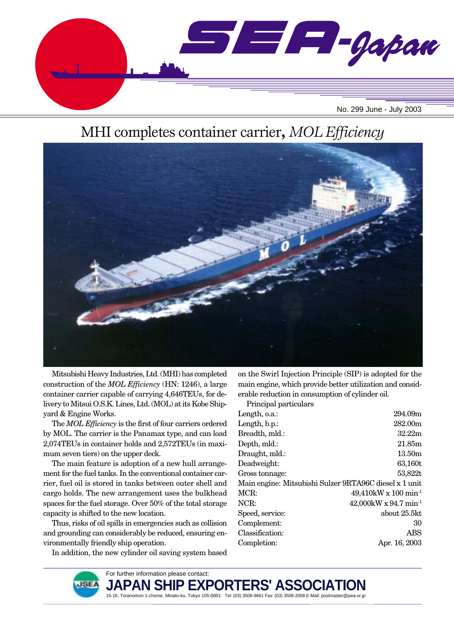

# MHI completes container carrier**,** *MOL Efficiency*



Mitsubishi Heavy Industries, Ltd. (MHI) has completed construction of the *MOL Efficiency* (HN: 1246), a large container carrier capable of carrying 4,646TEUs, for delivery to Mitsui O.S.K. Lines, Ltd. (MOL) at its Kobe Shipyard & Engine Works.

The *MOL Efficiency* is the first of four carriers ordered by MOL. The carrier is the Panamax type, and can load 2,074TEUs in container holds and 2,572TEUs (in maximum seven tiers) on the upper deck.

The main feature is adoption of a new hull arrangement for the fuel tanks. In the conventional container carrier, fuel oil is stored in tanks between outer shell and cargo holds. The new arrangement uses the bulkhead spaces for the fuel storage. Over 50% of the total storage capacity is shifted to the new location.

Thus, risks of oil spills in emergencies such as collision and grounding can considerably be reduced, ensuring environmentally friendly ship operation.

In addition, the new cylinder oil saving system based

on the Swirl Injection Principle (SIP) is adopted for the main engine, which provide better utilization and considerable reduction in consumption of cylinder oil.

Principal particulars

| Length, o.a.:                                          | 294.09m                              |
|--------------------------------------------------------|--------------------------------------|
| Length, b.p.:                                          | 282.00m                              |
| Breadth, mld.:                                         | 32.22m                               |
| Depth, mld.:                                           | 21.85m                               |
| Draught, mld.:                                         | 13.50m                               |
| Deadweight:                                            | 63,160t                              |
| Gross tonnage:                                         | 53,822t                              |
| Main engine: Mitsubishi Sulzer 9RTA96C diesel x 1 unit |                                      |
| MCR:                                                   | $49,410$ kW x $100 \text{ min}^{-1}$ |
| NCR:                                                   | $42,000$ kW x 94.7 min <sup>-1</sup> |
| Speed, service:                                        | about 25.5kt                         |
| Complement:                                            | 30                                   |
| Classification:                                        | ABS                                  |
| Completion:                                            | Apr. 16, 2003                        |
|                                                        |                                      |

For further information please contact:



**JAPAN SHIP EXPO**<br>15-16, Toranomon 1-chome, Minato-ku, Tokyo 105-0001 Tel: (03) 3508-9661 Fax: (03) 3508-2058 E-Mail: postmaster@jsea.or.jp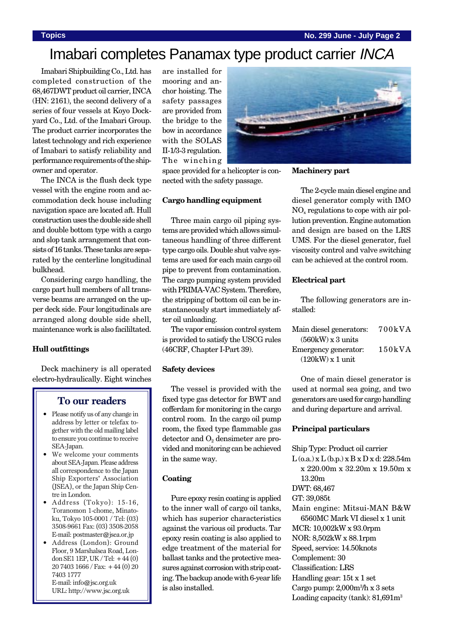# Imabari completes Panamax type product carrier INCA

Imabari Shipbuilding Co., Ltd. has completed construction of the 68,467DWT product oil carrier, INCA (HN: 2161), the second delivery of a series of four vessels at Koyo Dockyard Co., Ltd. of the Imabari Group. The product carrier incorporates the latest technology and rich experience of Imabari to satisfy reliability and performance requirements of the shipowner and operator.

The INCA is the flush deck type vessel with the engine room and accommodation deck house including navigation space are located aft. Hull construction uses the double side shell and double bottom type with a cargo and slop tank arrangement that consists of 16 tanks. These tanks are separated by the centerline longitudinal bulkhead.

Considering cargo handling, the cargo part hull members of all transverse beams are arranged on the upper deck side. Four longitudinals are arranged along double side shell, maintenance work is also facililtated.

### **Hull outfittings**

Deck machinery is all operated electro-hydraulically. Eight winches

## **To our readers**

- Please notify us of any change in address by letter or telefax together with the old mailing label to ensure you continue to receive SEA-Japan.
- We welcome your comments about SEA-Japan. Please address all correspondence to the Japan Ship Exporters' Association (JSEA), or the Japan Ship Centre in London.
- Address (Tokyo): 15-16, Toranomon 1-chome, Minatoku, Tokyo 105-0001 / Tel: (03) 3508-9661 Fax: (03) 3508-2058 E-mail: postmaster@jsea.or.jp
- Address (London): Ground Floor, 9 Marshalsea Road, London SE1 1EP, UK / Tel: +44 (0) 20 7403 1666 / Fax: +44 (0) 20 7403 1777 E-mail: info@jsc.org.uk URL: http://www.jsc.org.uk

are installed for mooring and anchor hoisting. The safety passages are provided from the bridge to the bow in accordance with the SOLAS II-1/3-3 regulation. The winching

space provided for a helicopter is connected with the safety passage.

#### **Cargo handling equipment**

Three main cargo oil piping systems are provided which allows simultaneous handling of three different type cargo oils. Double shut valve systems are used for each main cargo oil pipe to prevent from contamination. The cargo pumping system provided with PRIMA-VAC System. Therefore, the stripping of bottom oil can be instantaneously start immediately after oil unloading.

The vapor emission control system is provided to satisfy the USCG rules (46CRF, Chapter I-Part 39).

#### **Safety devices**

The vessel is provided with the fixed type gas detector for BWT and cofferdam for monitoring in the cargo control room. In the cargo oil pump room, the fixed type flammable gas  $\text{detector and } O_2 \text{ densimeter are pro-}$ vided and monitoring can be achieved in the same way.

### **Coating**

Pure epoxy resin coating is applied to the inner wall of cargo oil tanks, which has superior characteristics against the various oil products. Tar epoxy resin coating is also applied to edge treatment of the material for ballast tanks and the protective measures against corrosion with strip coating. The backup anode with 6-year life is also installed.

**Machinery part** The 2-cycle main diesel engine and

diesel generator comply with IMO  $NO<sub>x</sub>$  regulations to cope with air pollution prevention. Engine automation and design are based on the LRS UMS. For the diesel generator, fuel viscosity control and valve switching can be achieved at the control room.

### **Electrical part**

The following generators are installed:

| Main diesel generators:                  | 700kVA |
|------------------------------------------|--------|
| $(560 \text{kW}) \times 3 \text{ units}$ |        |
| Emergency generator:                     | 150kVA |
| $(120kW)$ x 1 unit                       |        |

One of main diesel generator is used at normal sea going, and two generators are used for cargo handling and during departure and arrival.

### **Principal particulars**

Ship Type: Product oil carrier  $L$  (o.a.) x  $L$  (b.p.) x  $B$  x  $D$  x d: 228.54m x 220.00m x 32.20m x 19.50m x 13.20m DWT: 68,467 GT: 39,085t Main engine: Mitsui-MAN B&W 6560MC Mark VI diesel x 1 unit MCR: 10,002kW x 93.0rpm NOR: 8,502kW x 88.1rpm Speed, service: 14.50knots Complement: 30 Classification: LRS Handling gear: 15t x 1 set Cargo pump: 2,000m3 /h x 3 sets Loading capacity (tank):  $81,691m<sup>3</sup>$ 

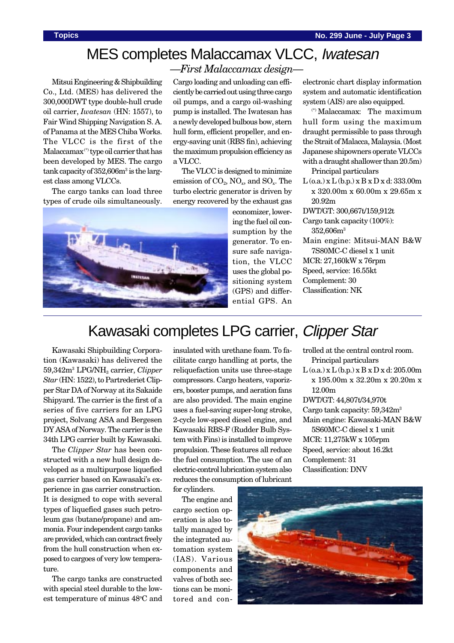# MES completes Malaccamax VLCC, Iwatesan

*—First Malaccamax design—*

Mitsui Engineering & Shipbuilding Co., Ltd. (MES) has delivered the 300,000DWT type double-hull crude oil carrier, *Iwatesan* (HN: 1557), to Fair Wind Shipping Navigation S. A. of Panama at the MES Chiba Works. The VLCC is the first of the Malaccamax (\*) type oil carrier that has been developed by MES. The cargo tank capacity of 352,606m<sup>3</sup> is the largest class among VLCCs.

The cargo tanks can load three types of crude oils simultaneously.

Cargo loading and unloading can efficiently be carried out using three cargo oil pumps, and a cargo oil-washing pump is installed. The Iwatesan has a newly developed bulbous bow, stern hull form, efficient propeller, and energy-saving unit (RBS fin), achieving the maximum propulsion efficiency as a VLCC.

The VLCC is designed to minimize emission of  $CO_2$ ,  $NO_x$ , and  $SO_x$ . The turbo electric generator is driven by energy recovered by the exhaust gas



economizer, lowering the fuel oil consumption by the generator. To ensure safe navigation, the VLCC uses the global positioning system (GPS) and differential GPS. An

electronic chart display information system and automatic identification system (AIS) are also equipped.

(\*) Malaccamax: The maximum hull form using the maximum draught permissible to pass through the Strait of Malacca, Malaysia. (Most Japanese shipowners operate VLCCs with a draught shallower than 20.5m)

Principal particulars

 $L$  (o.a.) x  $L$  (b.p.) x  $B$  x  $D$  x d: 333.00m x 320.00m x 60.00m x 29.65m x 20.92m

DWT/GT: 300,667t/159,912t

Cargo tank capacity (100%): 352,606m3

Main engine: Mitsui-MAN B&W 7S80MC-C diesel x 1 unit MCR: 27,160kW x 76rpm Speed, service: 16.55kt Complement: 30 Classification: NK

# Kawasaki completes LPG carrier, Clipper Star

Kawasaki Shipbuilding Corporation (Kawasaki) has delivered the 59,342m3 LPG/NH3 carrier, *Clipper Star* (HN: 1522), to Partrederiet Clipper Star DA of Norway at its Sakaide Shipyard. The carrier is the first of a series of five carriers for an LPG project, Solvang ASA and Bergesen DY ASA of Norway. The carrier is the 34th LPG carrier built by Kawasaki.

The *Clipper Star* has been constructed with a new hull design developed as a multipurpose liquefied gas carrier based on Kawasaki's experience in gas carrier construction. It is designed to cope with several types of liquefied gases such petroleum gas (butane/propane) and ammonia. Four independent cargo tanks are provided, which can contract freely from the hull construction when exposed to cargoes of very low temperature.

The cargo tanks are constructed with special steel durable to the lowest temperature of minus 48°C and

insulated with urethane foam. To facilitate cargo handling at ports, the reliquefaction units use three-stage compressors. Cargo heaters, vaporizers, booster pumps, and aeration fans are also provided. The main engine uses a fuel-saving super-long stroke, 2-cycle low-speed diesel engine, and Kawasaki RBS-F (Rudder Bulb System with Fins) is installed to improve propulsion. These features all reduce the fuel consumption. The use of an electric-control lubrication system also reduces the consumption of lubricant

trolled at the central control room. Principal particulars L (o.a.) x L (b.p.) x B x D x d: 205.00m

x 195.00m x 32.20m x 20.20m x 12.00m

DWT/GT: 44,807t/34,970t Cargo tank capacity: 59,342m3 Main engine: Kawasaki-MAN B&W

5S60MC-C diesel x 1 unit MCR: 11,275kW x 105rpm Speed, service: about 16.2kt Complement: 31 Classification: DNV

for cylinders.

The engine and cargo section operation is also totally managed by the integrated automation system (IAS). Various components and valves of both sections can be monitored and con-

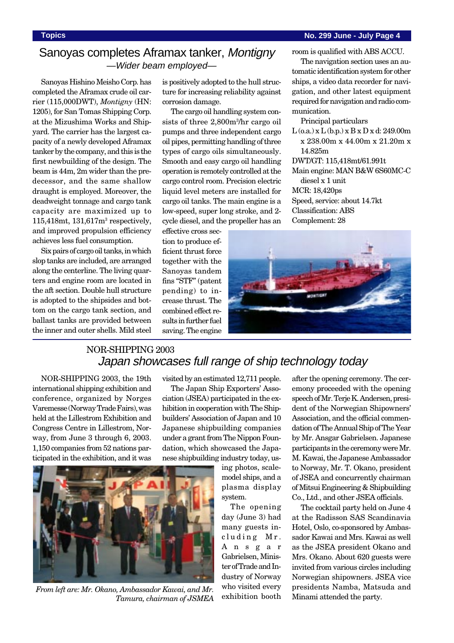room is qualified with ABS ACCU. The navigation section uses an automatic identification system for other ships, a video data recorder for navigation, and other latest equipment required for navigation and radio com-

 $L$  (o.a.) x  $L$  (b.p.) x  $B$  x  $D$  x d: 249.00m x 238.00m x 44.00m x 21.20m x

Main engine: MAN B&W 6S60MC-C

## Sanoyas completes Aframax tanker, Montigny —Wider beam employed—

Sanoyas Hishino Meisho Corp. has completed the Aframax crude oil carrier (115,000DWT), *Montigny* (HN: 1205), for San Tomas Shipping Corp. at the Mizushima Works and Shipyard. The carrier has the largest capacity of a newly developed Aframax tanker by the company, and this is the first newbuilding of the design. The beam is 44m, 2m wider than the predecessor, and the same shallow draught is employed. Moreover, the deadweight tonnage and cargo tank capacity are maximized up to 115,418mt, 131,617m3 respectively, and improved propulsion efficiency achieves less fuel consumption.

Six pairs of cargo oil tanks, in which slop tanks are included, are arranged along the centerline. The living quarters and engine room are located in the aft section. Double hull structure is adopted to the shipsides and bottom on the cargo tank section, and ballast tanks are provided between the inner and outer shells. Mild steel is positively adopted to the hull structure for increasing reliability against corrosion damage.

The cargo oil handling system consists of three 2,800m3 /hr cargo oil pumps and three independent cargo oil pipes, permitting handling of three types of cargo oils simultaneously. Smooth and easy cargo oil handling operation is remotely controlled at the cargo control room. Precision electric liquid level meters are installed for cargo oil tanks. The main engine is a low-speed, super long stroke, and 2 cycle diesel, and the propeller has an

effective cross section to produce efficient thrust force together with the Sanoyas tandem fins "STF" (patent pending) to increase thrust. The combined effect results in further fuel saving. The engine

munication.

14.825m

diesel x 1 unit MCR: 18,420ps

Classification: ABS Complement: 28

Principal particulars

DWT/GT: 115,418mt/61.991t

Speed, service: about 14.7kt

## NOR-SHIPPING 2003 Japan showcases full range of ship technology today

NOR-SHIPPING 2003, the 19th international shipping exhibition and conference, organized by Norges Varemesse (Norway Trade Fairs), was held at the Lillestrom Exhibition and Congress Centre in Lillestrom, Norway, from June 3 through 6, 2003. 1,150 companies from 52 nations participated in the exhibition, and it was



The Japan Ship Exporters' Association (JSEA) participated in the exhibition in cooperation with The Shipbuilders' Association of Japan and 10 Japanese shipbuilding companies under a grant from The Nippon Foundation, which showcased the Japanese shipbuilding industry today, us-



From left are: Mr. Okano, Ambassador Kawai, and Mr. Who visited every<br>Tamura chairman of ISMEA exhibition booth *Tamura, chairman of JSMEA*

ing photos, scalemodel ships, and a plasma display

system. The opening day (June 3) had many guests including Mr. Ansgar Gabrielsen, Minister of Trade and Industry of Norway who visited every

after the opening ceremony. The ceremony proceeded with the opening speech of Mr. Terje K. Andersen, president of the Norwegian Shipowners' Association, and the official commendation of The Annual Ship of The Year by Mr. Ansgar Gabrielsen. Japanese participants in the ceremony were Mr. M. Kawai, the Japanese Ambassador to Norway, Mr. T. Okano, president of JSEA and concurrently chairman of Mitsui Engineering & Shipbuilding Co., Ltd., and other JSEA officials.

The cocktail party held on June 4 at the Radisson SAS Scandinavia Hotel, Oslo, co-sponsored by Ambassador Kawai and Mrs. Kawai as well as the JSEA president Okano and Mrs. Okano. About 620 guests were invited from various circles including Norwegian shipowners. JSEA vice presidents Namba, Matsuda and Minami attended the party.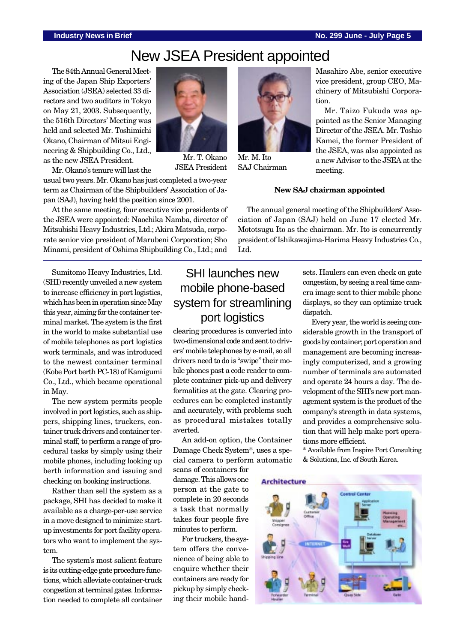# New JSEA President appointed

The 84th Annual General Meeting of the Japan Ship Exporters' Association (JSEA) selected 33 directors and two auditors in Tokyo on May 21, 2003. Subsequently, the 516th Directors' Meeting was held and selected Mr. Toshimichi Okano, Chairman of Mitsui Engineering & Shipbuilding Co., Ltd., as the new JSEA President.



Mr. T. Okano JSEA President

Mr. Okano's tenure will last the

usual two years. Mr. Okano has just completed a two-year term as Chairman of the Shipbuilders' Association of Japan (SAJ), having held the position since 2001.

At the same meeting, four executive vice presidents of the JSEA were appointed: Naochika Namba, director of Mitsubishi Heavy Industries, Ltd.; Akira Matsuda, corporate senior vice president of Marubeni Corporation; Sho Minami, president of Oshima Shipbuilding Co., Ltd.; and

Sumitomo Heavy Industries, Ltd. (SHI) recently unveiled a new system to increase efficiency in port logistics, which has been in operation since May this year, aiming for the container terminal market. The system is the first in the world to make substantial use of mobile telephones as port logistics work terminals, and was introduced to the newest container terminal (Kobe Port berth PC-18) of Kamigumi Co., Ltd., which became operational in May.

The new system permits people involved in port logistics, such as shippers, shipping lines, truckers, container truck drivers and container terminal staff, to perform a range of procedural tasks by simply using their mobile phones, including looking up berth information and issuing and checking on booking instructions.

Rather than sell the system as a package, SHI has decided to make it available as a charge-per-use service in a move designed to minimize startup investments for port facility operators who want to implement the system.

The system's most salient feature is its cutting-edge gate procedure functions, which alleviate container-truck congestion at terminal gates. Information needed to complete all container



clearing procedures is converted into two-dimensional code and sent to drivers' mobile telephones by e-mail, so all drivers need to do is "swipe" their mobile phones past a code reader to complete container pick-up and delivery formalities at the gate. Clearing procedures can be completed instantly and accurately, with problems such as procedural mistakes totally averted.

An add-on option, the Container Damage Check System\*, uses a special camera to perform automatic

scans of containers for damage. This allows one person at the gate to complete in 20 seconds a task that normally takes four people five minutes to perform.

For truckers, the system offers the convenience of being able to enquire whether their containers are ready for pickup by simply checking their mobile hand-



Mr. M. Ito SAJ Chairman

Masahiro Abe, senior executive vice president, group CEO, Machinery of Mitsubishi Corporation.

Mr. Taizo Fukuda was appointed as the Senior Managing Director of the JSEA. Mr. Toshio Kamei, the former President of the JSEA, was also appointed as a new Advisor to the JSEA at the meeting.

#### **New SAJ chairman appointed**

The annual general meeting of the Shipbuilders' Association of Japan (SAJ) held on June 17 elected Mr. Mototsugu Ito as the chairman. Mr. Ito is concurrently president of Ishikawajima-Harima Heavy Industries Co., Ltd.

> sets. Haulers can even check on gate congestion, by seeing a real time camera image sent to thier mobile phone displays, so they can optimize truck dispatch.

> Every year, the world is seeing considerable growth in the transport of goods by container; port operation and management are becoming increasingly computerized, and a growing number of terminals are automated and operate 24 hours a day. The development of the SHI's new port management system is the product of the company's strength in data systems, and provides a comprehensive solution that will help make port operations more efficient.

> \* Available from Inspire Port Consulting & Solutions, Inc. of South Korea.